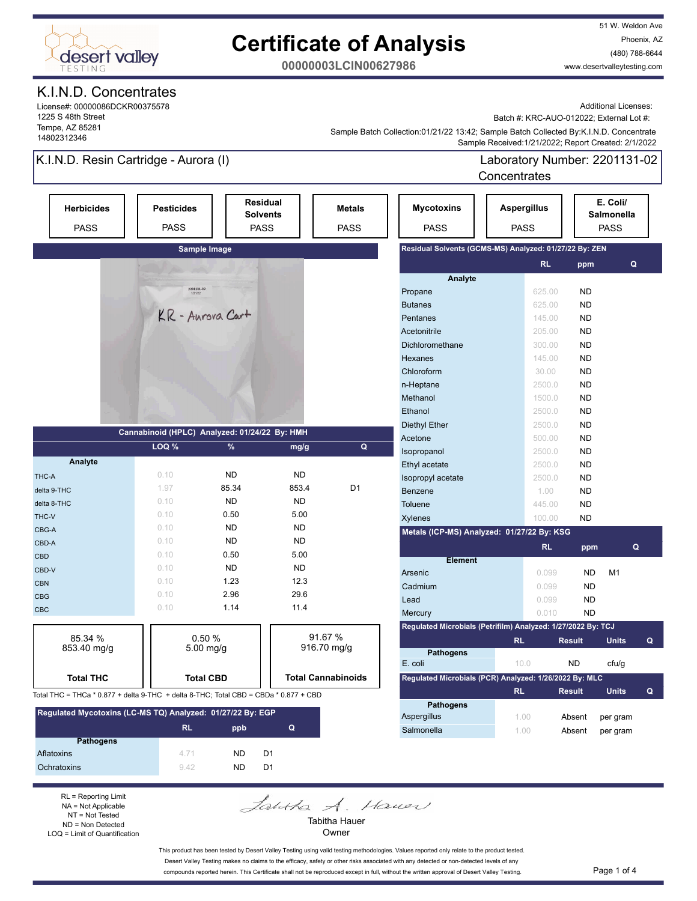

51 W. Weldon Ave Phoenix, AZ (480) 788-6644 www.desertvalleytesting.com

**00000003LCIN00627986**

### K.I.N.D. Concentrates

License#: 00000086DCKR00375578 1225 S 48th Street Tempe, AZ 85281 14802312346

Additional Licenses:

Batch #: KRC-AUO-012022; External Lot #:

 Sample Received:1/21/2022; Report Created: 2/1/2022 Sample Batch Collection:01/21/22 13:42; Sample Batch Collected By:K.I.N.D. Concentrate

### K.I.N.D. Resin Cartridge - Aurora (I)

Laboratory Number: 2201131-02 Concentrates

|                                                                                      |                                                        |                  |                                    |                              |                                                              | Concentrates                      |               |                                              |
|--------------------------------------------------------------------------------------|--------------------------------------------------------|------------------|------------------------------------|------------------------------|--------------------------------------------------------------|-----------------------------------|---------------|----------------------------------------------|
| <b>Herbicides</b><br><b>PASS</b>                                                     | <b>Pesticides</b><br><b>PASS</b>                       | <b>PASS</b>      | <b>Residual</b><br><b>Solvents</b> | <b>Metals</b><br><b>PASS</b> | <b>Mycotoxins</b><br><b>PASS</b>                             | <b>Aspergillus</b><br><b>PASS</b> |               | E. Coli/<br><b>Salmonella</b><br><b>PASS</b> |
|                                                                                      |                                                        | Sample Image     |                                    |                              | Residual Solvents (GCMS-MS) Analyzed: 01/27/22 By: ZEN       |                                   |               |                                              |
|                                                                                      |                                                        |                  |                                    |                              |                                                              | <b>RL</b>                         | ppm           | Q                                            |
|                                                                                      |                                                        |                  |                                    |                              | Analyte                                                      |                                   |               |                                              |
|                                                                                      | $\begin{array}{r} 2201131 - 02 \\ 1/21/22 \end{array}$ |                  |                                    |                              | Propane                                                      | 625.00                            | <b>ND</b>     |                                              |
|                                                                                      | KR - Aurora Cart                                       |                  |                                    | <b>Butanes</b>               | 625.00                                                       | <b>ND</b>                         |               |                                              |
|                                                                                      |                                                        |                  |                                    | Pentanes                     | 145.00                                                       | <b>ND</b>                         |               |                                              |
|                                                                                      |                                                        |                  |                                    |                              | Acetonitrile                                                 | 205.00                            | <b>ND</b>     |                                              |
|                                                                                      |                                                        |                  |                                    |                              | Dichloromethane                                              | 300.00                            | <b>ND</b>     |                                              |
|                                                                                      |                                                        |                  |                                    |                              | Hexanes                                                      | 145.00                            | <b>ND</b>     |                                              |
|                                                                                      |                                                        |                  |                                    |                              | Chloroform                                                   | 30.00                             | <b>ND</b>     |                                              |
|                                                                                      |                                                        |                  |                                    |                              | n-Heptane                                                    | 2500.0                            | <b>ND</b>     |                                              |
|                                                                                      |                                                        |                  |                                    |                              | Methanol                                                     | 1500.0                            | <b>ND</b>     |                                              |
|                                                                                      |                                                        |                  |                                    |                              | Ethanol                                                      | 2500.0                            | <b>ND</b>     |                                              |
|                                                                                      |                                                        |                  |                                    |                              | Diethyl Ether                                                | 2500.0                            | <b>ND</b>     |                                              |
|                                                                                      | Cannabinoid (HPLC) Analyzed: 01/24/22 By: HMH          |                  |                                    |                              | Acetone                                                      | 500.00                            | <b>ND</b>     |                                              |
|                                                                                      | LOQ %                                                  | %                | mg/g                               | Q                            | Isopropanol                                                  | 2500.0                            | <b>ND</b>     |                                              |
| Analyte                                                                              |                                                        |                  |                                    |                              | Ethyl acetate                                                | 2500.0                            | <b>ND</b>     |                                              |
| THC-A                                                                                | 0.10                                                   | <b>ND</b>        | <b>ND</b>                          |                              | Isopropyl acetate                                            | 2500.0                            | <b>ND</b>     |                                              |
| delta 9-THC                                                                          | 1.97                                                   | 85.34            | 853.4                              | D <sub>1</sub>               | Benzene                                                      | 1.00                              | <b>ND</b>     |                                              |
| delta 8-THC                                                                          | 0.10                                                   | <b>ND</b>        | <b>ND</b>                          |                              | Toluene                                                      | 445.00                            | <b>ND</b>     |                                              |
| THC-V                                                                                | 0.10                                                   | 0.50             | 5.00                               |                              | <b>Xylenes</b>                                               | 100.00                            | <b>ND</b>     |                                              |
| CBG-A                                                                                | 0.10                                                   | <b>ND</b>        | <b>ND</b>                          |                              | Metals (ICP-MS) Analyzed: 01/27/22 By: KSG                   |                                   |               |                                              |
| CBD-A                                                                                | 0.10                                                   | <b>ND</b>        | <b>ND</b>                          |                              |                                                              | <b>RL</b>                         | ppm           | Q                                            |
| <b>CBD</b>                                                                           | 0.10                                                   | 0.50             | 5.00                               |                              | <b>Element</b>                                               |                                   |               |                                              |
| CBD-V                                                                                | 0.10                                                   | <b>ND</b>        | <b>ND</b>                          |                              | Arsenic                                                      | 0.099                             | <b>ND</b>     | M1                                           |
| <b>CBN</b>                                                                           | 0.10                                                   | 1.23             | 12.3                               |                              | Cadmium                                                      | 0.099                             | <b>ND</b>     |                                              |
| <b>CBG</b>                                                                           | 0.10                                                   | 2.96             | 29.6                               |                              | Lead                                                         | 0.099                             | <b>ND</b>     |                                              |
| CBC                                                                                  | 0.10                                                   | 1.14             | 11.4                               |                              | Mercury                                                      | 0.010                             | <b>ND</b>     |                                              |
|                                                                                      |                                                        |                  |                                    |                              | Regulated Microbials (Petrifilm) Analyzed: 1/27/2022 By: TCJ |                                   |               |                                              |
| 85.34 %                                                                              |                                                        | 0.50%            |                                    | 91.67 %                      |                                                              |                                   | <b>Result</b> | <b>Units</b><br>Q                            |
| 853.40 mg/g                                                                          |                                                        | 5.00 mg/g        |                                    | 916.70 mg/g                  | <b>Pathogens</b>                                             | <b>RL</b>                         |               |                                              |
|                                                                                      |                                                        |                  |                                    |                              | E. coli                                                      | 10.0                              | <b>ND</b>     | cfu/g                                        |
| <b>Total THC</b>                                                                     |                                                        | <b>Total CBD</b> |                                    | <b>Total Cannabinoids</b>    | Regulated Microbials (PCR) Analyzed: 1/26/2022 By: MLC       |                                   |               |                                              |
|                                                                                      |                                                        |                  |                                    |                              |                                                              | <b>RL</b>                         | <b>Result</b> | <b>Units</b><br>Q                            |
| Total THC = THCa * 0.877 + delta 9-THC + delta 8-THC; Total CBD = CBDa * 0.877 + CBD |                                                        |                  |                                    |                              | <b>Pathogens</b>                                             |                                   |               |                                              |
|                                                                                      |                                                        |                  |                                    |                              |                                                              |                                   |               |                                              |

| Regulated Mycotoxins (LC-MS TQ) Analyzed: 01/27/22 By: EGP |           |     |                |  |
|------------------------------------------------------------|-----------|-----|----------------|--|
|                                                            | <b>RL</b> | ppb | Q              |  |
| <b>Pathogens</b>                                           |           |     |                |  |
| Aflatoxins                                                 | 4 7 1     | ND. | D <sub>1</sub> |  |
| Ochratoxins                                                | 942       | ND. | D1             |  |

RL = Reporting Limit NA = Not Applicable NT = Not Tested ND = Non Detected LOQ = Limit of Quantification

Owner This product has been tested by Desert Valley Testing using valid testing methodologies. Values reported only relate to the product tested.

Desert Valley Testing makes no claims to the efficacy, safety or other risks associated with any detected or non-detected levels of any compounds reported herein. This Certificate shall not be reproduced except in full, without the written approval of Desert Valley Testing. Page 1 of 4

Tabitha Hauer

Janka A. Haven

Aspergillus 1.00 Absent per gram Salmonella 1.00 Absent per gram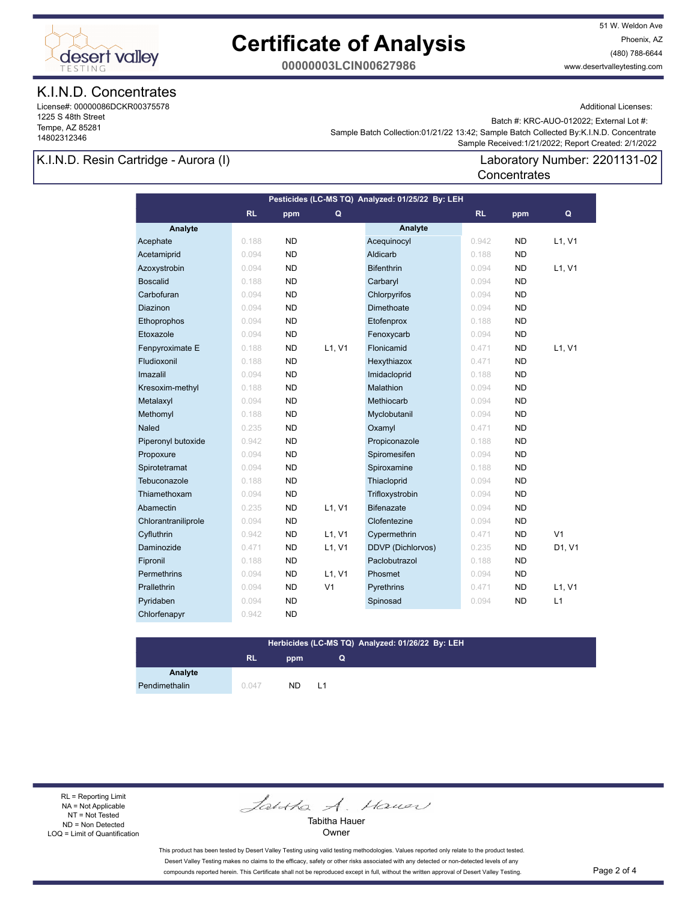

51 W. Weldon Ave Phoenix, AZ (480) 788-6644 www.desertvalleytesting.com

**00000003LCIN00627986**

### K.I.N.D. Concentrates

License#: 00000086DCKR00375578 1225 S 48th Street Tempe, AZ 85281 14802312346

Additional Licenses:

Batch #: KRC-AUO-012022; External Lot #:

Laboratory Number: 2201131-02

 Sample Received:1/21/2022; Report Created: 2/1/2022 Sample Batch Collection:01/21/22 13:42; Sample Batch Collected By:K.I.N.D. Concentrate

**Concentrates** 

### K.I.N.D. Resin Cartridge - Aurora (I)

**Analyte Analyte RL ppm RL ppm Pesticides (LC-MS TQ) Analyzed: 01/25/22 By: LEH Q Q** Acephate 0.188 ND Acequinocyl 0.942 ND L1, V1 Acetamiprid 0.094 ND Aldicarb 0.188 ND Azoxystrobin 0.094 ND Bifenthrin 0.094 ND L1, V1 Boscalid 0.188 ND Carbaryl 0.094 ND Carbofuran 0.094 ND Chlorpyrifos 0.094 ND **Diazinon 0.094 ND Dimethoate 0.094 ND**  Ethoprophos 0.094 ND Etofenprox 0.188 ND Etoxazole 0.094 ND Fenoxycarb 0.094 ND Fenpyroximate E 0.188 ND L1, V1 Flonicamid 0.471 ND L1, V1 Fludioxonil 0.188 ND Hexythiazox 0.471 ND Imazalil 0.094 ND Imidacloprid 0.188 ND Kresoxim-methyl 0.188 ND Malathion 0.094 ND Metalaxyl 0.094 ND Methiocarb 0.094 ND Methomyl 0.188 ND Myclobutanil 0.094 ND **Naled 0.235 ND Oxamyl 0.471 ND**  Piperonyl butoxide 0.942 ND Propiconazole 0.188 ND Propoxure 0.094 ND Spiromesifen 0.094 ND Spirotetramat 0.094 ND Spiroxamine 0.188 ND Tebuconazole 0.188 ND Thiacloprid 0.094 ND Thiamethoxam 0.094 ND Trifloxystrobin 0.094 ND Abamectin **0.235 ND L1, V1 Bifenazate 10.094 ND** Chlorantraniliprole 0.094 ND Clofentezine 0.094 ND Cyfluthrin **David Cypermethrin Cypermethrin 1997** Cypermethrin 1997 Cyfluthrin ND V1 Daminozide 0.471 ND L1, V1 DDVP (Dichlorvos) 0.235 ND D1, V1 Fipronil 0.188 ND Paclobutrazol 0.188 ND Permethrins 0.094 ND L1, V1 Phosmet 0.094 ND Prallethrin 0.094 ND V1 Pyrethrins 0.471 ND L1, V1 Pyridaben 1980 0.094 ND Spinosad 1980 0.094 ND L1 Chlorfenapyr 0.942 ND

#### **Herbicides (LC-MS TQ) Analyzed: 01/26/22 By: LEH**

**Q**

### **RL ppm**

**Analyte**

Pendimethalin 0.047 ND L1

RL = Reporting Limit NA = Not Applicable NT = Not Tested ND = Non Detected LOQ = Limit of Quantification

Jantha A. Hauer

Tabitha Hauer **Owner** 

This product has been tested by Desert Valley Testing using valid testing methodologies. Values reported only relate to the product tested. Desert Valley Testing makes no claims to the efficacy, safety or other risks associated with any detected or non-detected levels of any compounds reported herein. This Certificate shall not be reproduced except in full, without the written approval of Desert Valley Testing. Page 2 of 4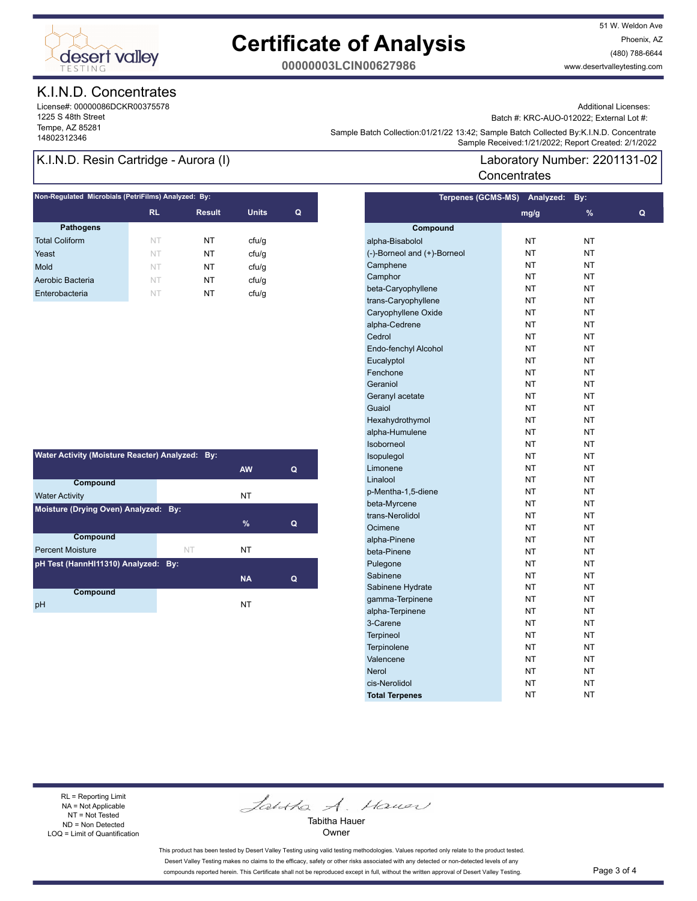

51 W. Weldon Ave Phoenix, AZ (480) 788-6644 www.desertvalleytesting.com

**00000003LCIN00627986**

### K.I.N.D. Concentrates

License#: 00000086DCKR00375578 1225 S 48th Street Tempe, AZ 85281

Additional Licenses:

Batch #: KRC-AUO-012022; External Lot #:

Laboratory Number: 2201131-02

Sample Battri Collection.orizinzzi istaz, Sample Battri Collection (State Collection 2012)<br>Sample Received:1/21/2022; Report Created: 2/1/2022 Sample Batch Collection:01/21/22 13:42; Sample Batch Collected By:K.I.N.D. Concentrate

**Concentrates** 

### K.I.N.D. Resin Cartridge - Aurora (I)

| Non-Regulated Microbials (PetriFilms) Analyzed: By: |               |              |   |  |  |
|-----------------------------------------------------|---------------|--------------|---|--|--|
| <b>RL</b>                                           | <b>Result</b> | <b>Units</b> | Q |  |  |
|                                                     |               |              |   |  |  |
| NT                                                  | NT            | ctu/g        |   |  |  |
| NT                                                  | NT            | cfu/q        |   |  |  |
| NT                                                  | NT            | ctu/g        |   |  |  |
| NT                                                  | NT            | cfu/q        |   |  |  |
| NT                                                  | NT            | cfu/q        |   |  |  |
|                                                     |               |              |   |  |  |

| Water Activity (Moisture Reacter) Analyzed: By: |           |           |   |  |
|-------------------------------------------------|-----------|-----------|---|--|
|                                                 |           | <b>AW</b> | Q |  |
| Compound                                        |           |           |   |  |
| <b>Water Activity</b>                           |           | NT        |   |  |
| Moisture (Drying Oven) Analyzed:<br>Bv:         |           |           |   |  |
|                                                 |           | $\%$      | Q |  |
| Compound                                        |           |           |   |  |
| <b>Percent Moisture</b>                         | <b>NT</b> | NT        |   |  |
| pH Test (HannHI11310) Analyzed: By:             |           |           |   |  |
|                                                 |           | <b>NA</b> | Q |  |
| Compound                                        |           |           |   |  |
| рH                                              |           | NT        |   |  |

|                             | Terpenes (GCMS-MS) Analyzed: | By:           |   |
|-----------------------------|------------------------------|---------------|---|
|                             | mg/g                         | $\frac{9}{6}$ | Q |
| Compound                    |                              |               |   |
| alpha-Bisabolol             | NΤ                           | NT            |   |
| (-)-Borneol and (+)-Borneol | NT                           | <b>NT</b>     |   |
| Camphene                    | <b>NT</b>                    | <b>NT</b>     |   |
| Camphor                     | NT                           | <b>NT</b>     |   |
| beta-Caryophyllene          | NT                           | <b>NT</b>     |   |
| trans-Caryophyllene         | NΤ                           | <b>NT</b>     |   |
| Caryophyllene Oxide         | NΤ                           | <b>NT</b>     |   |
| alpha-Cedrene               | NΤ                           | NT            |   |
| Cedrol                      | NT                           | <b>NT</b>     |   |
| Endo-fenchyl Alcohol        | NT                           | <b>NT</b>     |   |
| Eucalyptol                  | NT                           | <b>NT</b>     |   |
| Fenchone                    | NΤ                           | <b>NT</b>     |   |
| Geraniol                    | NΤ                           | NT            |   |
| Geranyl acetate             | NT                           | <b>NT</b>     |   |
| Guaiol                      | NT                           | <b>NT</b>     |   |
| Hexahydrothymol             | NΤ                           | <b>NT</b>     |   |
| alpha-Humulene              | NΤ                           | ΝT            |   |
| Isoborneol                  | NΤ                           | ΝT            |   |
| Isopulegol                  | NT                           | <b>NT</b>     |   |
| Limonene                    | NT                           | <b>NT</b>     |   |
| Linalool                    | NT                           | <b>NT</b>     |   |
| p-Mentha-1,5-diene          | NΤ                           | <b>NT</b>     |   |
| beta-Myrcene                | NT                           | <b>NT</b>     |   |
| trans-Nerolidol             | <b>NT</b>                    | <b>NT</b>     |   |
| Ocimene                     | NT                           | <b>NT</b>     |   |
| alpha-Pinene                | NT                           | <b>NT</b>     |   |
| beta-Pinene                 | NΤ                           | <b>NT</b>     |   |
| Pulegone                    | NΤ                           | <b>NT</b>     |   |
| Sabinene                    | NΤ                           | NT            |   |
| Sabinene Hydrate            | NT                           | <b>NT</b>     |   |
| gamma-Terpinene             | NΤ                           | <b>NT</b>     |   |
| alpha-Terpinene             | NT                           | <b>NT</b>     |   |
| 3-Carene                    | NΤ                           | <b>NT</b>     |   |
| <b>Terpineol</b>            | NΤ                           | NT            |   |
| Terpinolene                 | NT                           | <b>NT</b>     |   |
| Valencene                   | NT                           | <b>NT</b>     |   |
| <b>Nerol</b>                | ΝT                           | <b>NT</b>     |   |
| cis-Nerolidol               | ΝT                           | ΝT            |   |
| <b>Total Terpenes</b>       | ΝT                           | NT            |   |
|                             |                              |               |   |

#### RL = Reporting Limit NA = Not Applicable NT = Not Tested ND = Non Detected LOQ = Limit of Quantification

Jantha A. Hauer

Tabitha Hauer Owner

This product has been tested by Desert Valley Testing using valid testing methodologies. Values reported only relate to the product tested. Desert Valley Testing makes no claims to the efficacy, safety or other risks associated with any detected or non-detected levels of any compounds reported herein. This Certificate shall not be reproduced except in full, without the written approval of Desert Valley Testing. Page 3 of 4